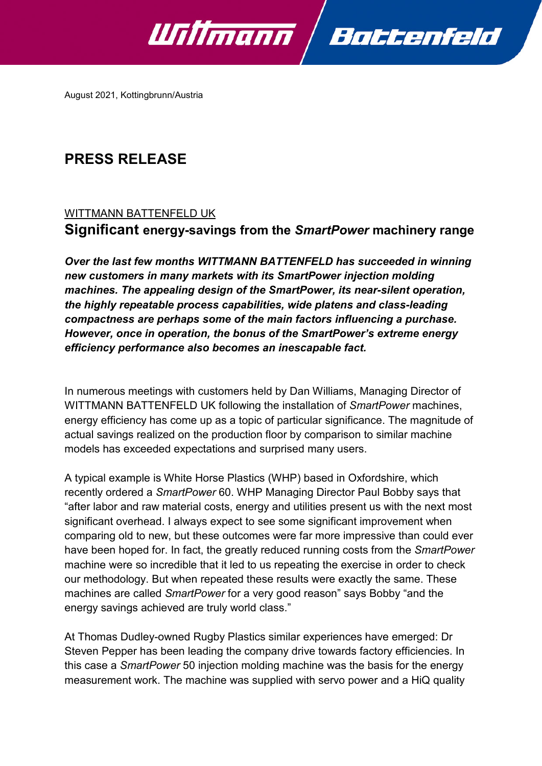

August 2021, Kottingbrunn/Austria

# **PRESS RELEASE**

## WITTMANN BATTENFELD UK

## **Significant energy-savings from the** *SmartPower* **machinery range**

*Over the last few months WITTMANN BATTENFELD has succeeded in winning new customers in many markets with its SmartPower injection molding machines. The appealing design of the SmartPower, its near-silent operation, the highly repeatable process capabilities, wide platens and class-leading compactness are perhaps some of the main factors influencing a purchase. However, once in operation, the bonus of the SmartPower's extreme energy efficiency performance also becomes an inescapable fact.*

In numerous meetings with customers held by Dan Williams, Managing Director of WITTMANN BATTENFELD UK following the installation of *SmartPower* machines, energy efficiency has come up as a topic of particular significance. The magnitude of actual savings realized on the production floor by comparison to similar machine models has exceeded expectations and surprised many users.

A typical example is White Horse Plastics (WHP) based in Oxfordshire, which recently ordered a *SmartPower* 60. WHP Managing Director Paul Bobby says that "after labor and raw material costs, energy and utilities present us with the next most significant overhead. I always expect to see some significant improvement when comparing old to new, but these outcomes were far more impressive than could ever have been hoped for. In fact, the greatly reduced running costs from the *SmartPower* machine were so incredible that it led to us repeating the exercise in order to check our methodology. But when repeated these results were exactly the same. These machines are called *SmartPower* for a very good reason" says Bobby "and the energy savings achieved are truly world class."

At Thomas Dudley-owned Rugby Plastics similar experiences have emerged: Dr Steven Pepper has been leading the company drive towards factory efficiencies. In this case a *SmartPower* 50 injection molding machine was the basis for the energy measurement work. The machine was supplied with servo power and a HiQ quality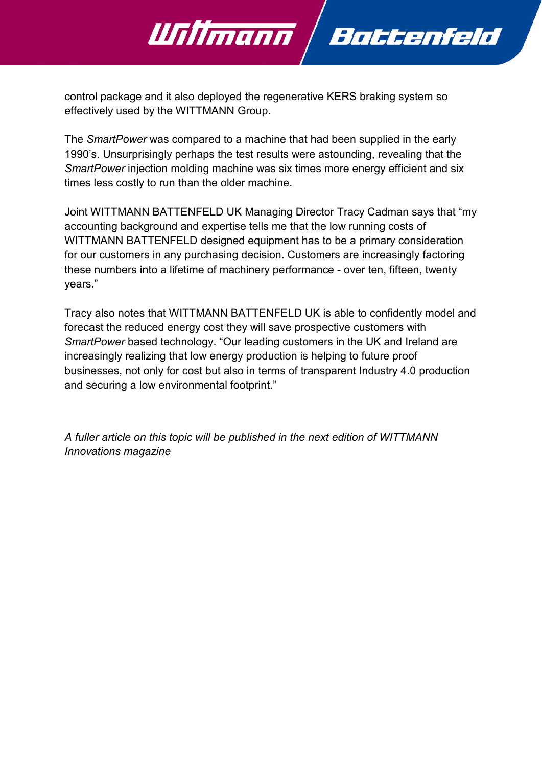

control package and it also deployed the regenerative KERS braking system so effectively used by the WITTMANN Group.

The *SmartPower* was compared to a machine that had been supplied in the early 1990's. Unsurprisingly perhaps the test results were astounding, revealing that the *SmartPower* injection molding machine was six times more energy efficient and six times less costly to run than the older machine.

Joint WITTMANN BATTENFELD UK Managing Director Tracy Cadman says that "my accounting background and expertise tells me that the low running costs of WITTMANN BATTENFELD designed equipment has to be a primary consideration for our customers in any purchasing decision. Customers are increasingly factoring these numbers into a lifetime of machinery performance - over ten, fifteen, twenty years."

Tracy also notes that WITTMANN BATTENFELD UK is able to confidently model and forecast the reduced energy cost they will save prospective customers with *SmartPower* based technology. "Our leading customers in the UK and Ireland are increasingly realizing that low energy production is helping to future proof businesses, not only for cost but also in terms of transparent Industry 4.0 production and securing a low environmental footprint."

*A fuller article on this topic will be published in the next edition of WITTMANN Innovations magazine*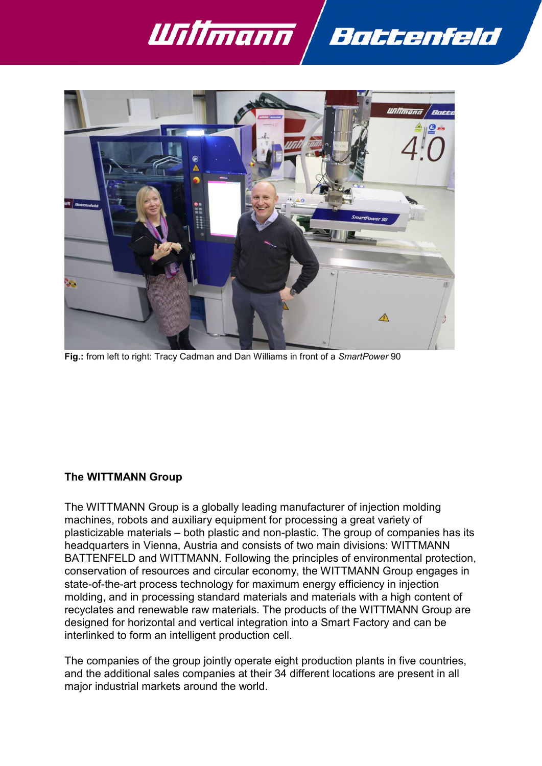



**Fig.:** from left to right: Tracy Cadman and Dan Williams in front of a *SmartPower* 90

#### **The WITTMANN Group**

The WITTMANN Group is a globally leading manufacturer of injection molding machines, robots and auxiliary equipment for processing a great variety of plasticizable materials – both plastic and non-plastic. The group of companies has its headquarters in Vienna, Austria and consists of two main divisions: WITTMANN BATTENFELD and WITTMANN. Following the principles of environmental protection, conservation of resources and circular economy, the WITTMANN Group engages in state-of-the-art process technology for maximum energy efficiency in injection molding, and in processing standard materials and materials with a high content of recyclates and renewable raw materials. The products of the WITTMANN Group are designed for horizontal and vertical integration into a Smart Factory and can be interlinked to form an intelligent production cell.

The companies of the group jointly operate eight production plants in five countries, and the additional sales companies at their 34 different locations are present in all major industrial markets around the world.